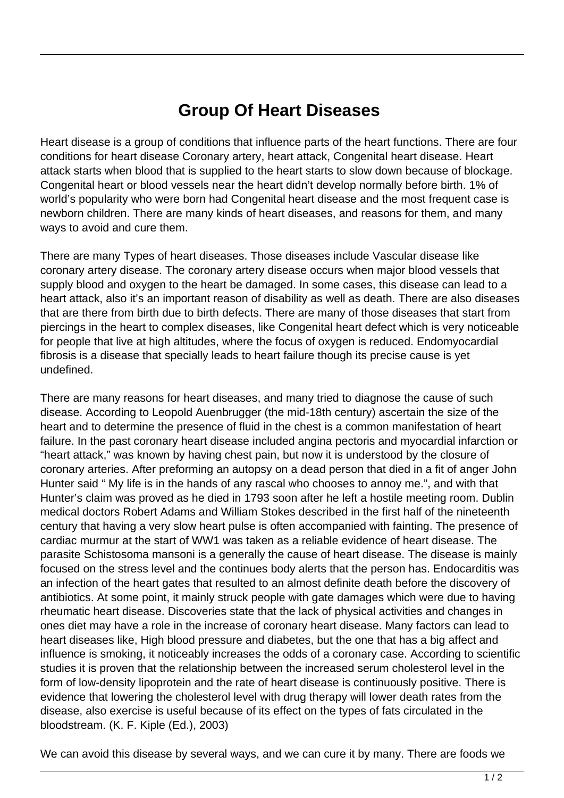## **Group Of Heart Diseases**

Heart disease is a group of conditions that influence parts of the heart functions. There are four conditions for heart disease Coronary artery, heart attack, Congenital heart disease. Heart attack starts when blood that is supplied to the heart starts to slow down because of blockage. Congenital heart or blood vessels near the heart didn't develop normally before birth. 1% of world's popularity who were born had Congenital heart disease and the most frequent case is newborn children. There are many kinds of heart diseases, and reasons for them, and many ways to avoid and cure them.

There are many Types of heart diseases. Those diseases include Vascular disease like coronary artery disease. The coronary artery disease occurs when major blood vessels that supply blood and oxygen to the heart be damaged. In some cases, this disease can lead to a heart attack, also it's an important reason of disability as well as death. There are also diseases that are there from birth due to birth defects. There are many of those diseases that start from piercings in the heart to complex diseases, like Congenital heart defect which is very noticeable for people that live at high altitudes, where the focus of oxygen is reduced. Endomyocardial fibrosis is a disease that specially leads to heart failure though its precise cause is yet undefined.

There are many reasons for heart diseases, and many tried to diagnose the cause of such disease. According to Leopold Auenbrugger (the mid-18th century) ascertain the size of the heart and to determine the presence of fluid in the chest is a common manifestation of heart failure. In the past coronary heart disease included angina pectoris and myocardial infarction or "heart attack," was known by having chest pain, but now it is understood by the closure of coronary arteries. After preforming an autopsy on a dead person that died in a fit of anger John Hunter said " My life is in the hands of any rascal who chooses to annoy me.", and with that Hunter's claim was proved as he died in 1793 soon after he left a hostile meeting room. Dublin medical doctors Robert Adams and William Stokes described in the first half of the nineteenth century that having a very slow heart pulse is often accompanied with fainting. The presence of cardiac murmur at the start of WW1 was taken as a reliable evidence of heart disease. The parasite Schistosoma mansoni is a generally the cause of heart disease. The disease is mainly focused on the stress level and the continues body alerts that the person has. Endocarditis was an infection of the heart gates that resulted to an almost definite death before the discovery of antibiotics. At some point, it mainly struck people with gate damages which were due to having rheumatic heart disease. Discoveries state that the lack of physical activities and changes in ones diet may have a role in the increase of coronary heart disease. Many factors can lead to heart diseases like, High blood pressure and diabetes, but the one that has a big affect and influence is smoking, it noticeably increases the odds of a coronary case. According to scientific studies it is proven that the relationship between the increased serum cholesterol level in the form of low-density lipoprotein and the rate of heart disease is continuously positive. There is evidence that lowering the cholesterol level with drug therapy will lower death rates from the disease, also exercise is useful because of its effect on the types of fats circulated in the bloodstream. (K. F. Kiple (Ed.), 2003)

We can avoid this disease by several ways, and we can cure it by many. There are foods we